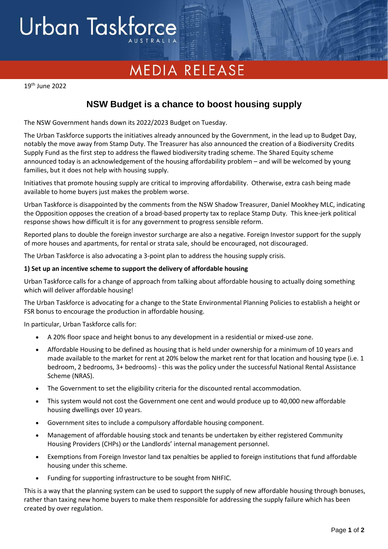# Urban Taskforce

## **MEDIA RELEASE**

19 th June 2022

### **NSW Budget is a chance to boost housing supply**

The NSW Government hands down its 2022/2023 Budget on Tuesday.

The Urban Taskforce supports the initiatives already announced by the Government, in the lead up to Budget Day, notably the move away from Stamp Duty. The Treasurer has also announced the creation of a Biodiversity Credits Supply Fund as the first step to address the flawed biodiversity trading scheme. The Shared Equity scheme announced today is an acknowledgement of the housing affordability problem – and will be welcomed by young families, but it does not help with housing supply.

Initiatives that promote housing supply are critical to improving affordability. Otherwise, extra cash being made available to home buyers just makes the problem worse.

Urban Taskforce is disappointed by the comments from the NSW Shadow Treasurer, Daniel Mookhey MLC, indicating the Opposition opposes the creation of a broad-based property tax to replace Stamp Duty. This knee-jerk political response shows how difficult it is for any government to progress sensible reform.

Reported plans to double the foreign investor surcharge are also a negative. Foreign Investor support for the supply of more houses and apartments, for rental or strata sale, should be encouraged, not discouraged.

The Urban Taskforce is also advocating a 3-point plan to address the housing supply crisis.

#### **1) Set up an incentive scheme to support the delivery of affordable housing**

Urban Taskforce calls for a change of approach from talking about affordable housing to actually doing something which will deliver affordable housing!

The Urban Taskforce is advocating for a change to the State Environmental Planning Policies to establish a height or FSR bonus to encourage the production in affordable housing.

In particular, Urban Taskforce calls for:

- A 20% floor space and height bonus to any development in a residential or mixed-use zone.
- Affordable Housing to be defined as housing that is held under ownership for a minimum of 10 years and made available to the market for rent at 20% below the market rent for that location and housing type (i.e. 1 bedroom, 2 bedrooms, 3+ bedrooms) - this was the policy under the successful National Rental Assistance Scheme (NRAS).
- The Government to set the eligibility criteria for the discounted rental accommodation.
- This system would not cost the Government one cent and would produce up to 40,000 new affordable housing dwellings over 10 years.
- Government sites to include a compulsory affordable housing component.
- Management of affordable housing stock and tenants be undertaken by either registered Community Housing Providers (CHPs) or the Landlords' internal management personnel.
- Exemptions from Foreign Investor land tax penalties be applied to foreign institutions that fund affordable housing under this scheme.
- Funding for supporting infrastructure to be sought from NHFIC.

This is a way that the planning system can be used to support the supply of new affordable housing through bonuses, rather than taxing new home buyers to make them responsible for addressing the supply failure which has been created by over regulation.